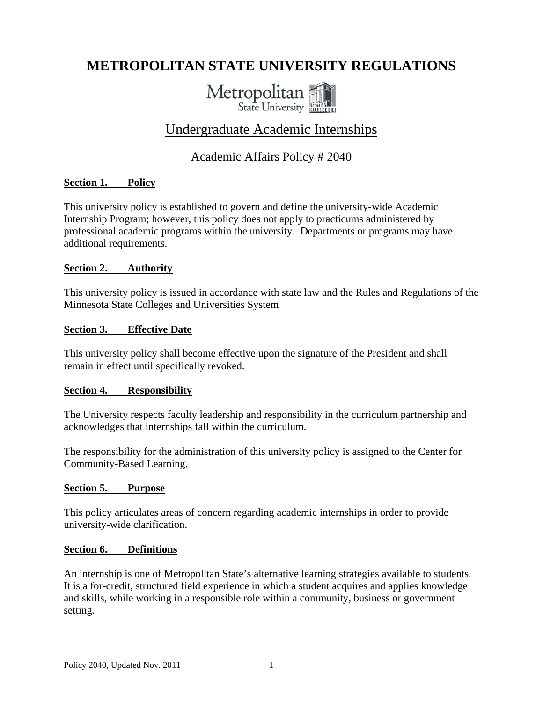# **METROPOLITAN STATE UNIVERSITY REGULATIONS**



## Undergraduate Academic Internships

## Academic Affairs Policy # 2040

## **Section 1. Policy**

This university policy is established to govern and define the university-wide Academic Internship Program; however, this policy does not apply to practicums administered by professional academic programs within the university. Departments or programs may have additional requirements.

## **Section 2. Authority**

This university policy is issued in accordance with state law and the Rules and Regulations of the Minnesota State Colleges and Universities System

## **Section 3. Effective Date**

This university policy shall become effective upon the signature of the President and shall remain in effect until specifically revoked.

## **Section 4. Responsibility**

The University respects faculty leadership and responsibility in the curriculum partnership and acknowledges that internships fall within the curriculum.

The responsibility for the administration of this university policy is assigned to the Center for Community-Based Learning.

## **Section 5. Purpose**

This policy articulates areas of concern regarding academic internships in order to provide university-wide clarification.

## **Section 6. Definitions**

An internship is one of Metropolitan State's alternative learning strategies available to students. It is a for-credit, structured field experience in which a student acquires and applies knowledge and skills, while working in a responsible role within a community, business or government setting.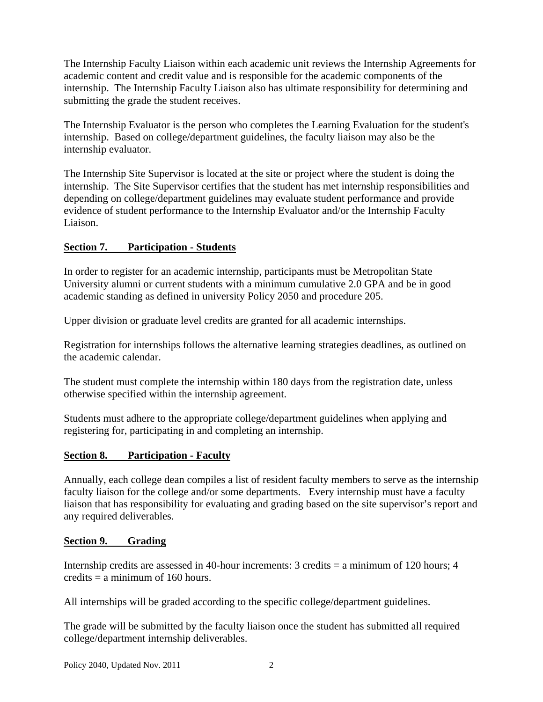The Internship Faculty Liaison within each academic unit reviews the Internship Agreements for academic content and credit value and is responsible for the academic components of the internship. The Internship Faculty Liaison also has ultimate responsibility for determining and submitting the grade the student receives.

The Internship Evaluator is the person who completes the Learning Evaluation for the student's internship. Based on college/department guidelines, the faculty liaison may also be the internship evaluator.

The Internship Site Supervisor is located at the site or project where the student is doing the internship. The Site Supervisor certifies that the student has met internship responsibilities and depending on college/department guidelines may evaluate student performance and provide evidence of student performance to the Internship Evaluator and/or the Internship Faculty Liaison.

## **Section 7. Participation - Students**

In order to register for an academic internship, participants must be Metropolitan State University alumni or current students with a minimum cumulative 2.0 GPA and be in good academic standing as defined in university Policy 2050 and procedure 205.

Upper division or graduate level credits are granted for all academic internships.

Registration for internships follows the alternative learning strategies deadlines, as outlined on the academic calendar.

The student must complete the internship within 180 days from the registration date, unless otherwise specified within the internship agreement.

Students must adhere to the appropriate college/department guidelines when applying and registering for, participating in and completing an internship.

## **Section 8. Participation - Faculty**

Annually, each college dean compiles a list of resident faculty members to serve as the internship faculty liaison for the college and/or some departments. Every internship must have a faculty liaison that has responsibility for evaluating and grading based on the site supervisor's report and any required deliverables.

## **Section 9. Grading**

Internship credits are assessed in 40-hour increments: 3 credits = a minimum of 120 hours; 4 credits  $= a$  minimum of 160 hours.

All internships will be graded according to the specific college/department guidelines.

The grade will be submitted by the faculty liaison once the student has submitted all required college/department internship deliverables.